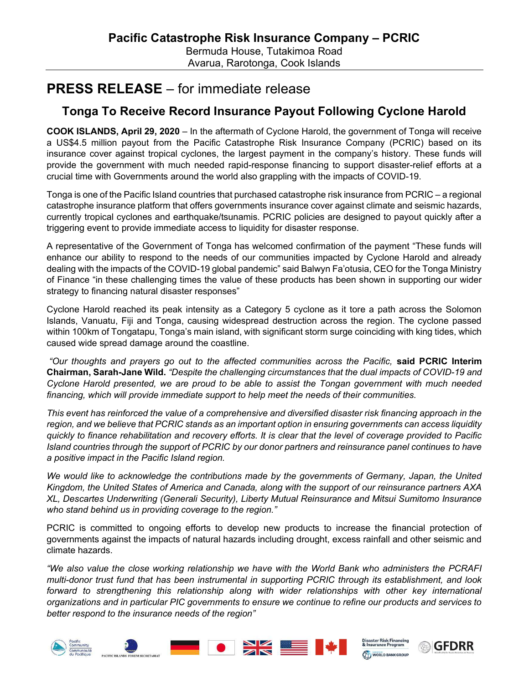## PRESS RELEASE – for immediate release

## Tonga To Receive Record Insurance Payout Following Cyclone Harold

COOK ISLANDS, April 29, 2020 – In the aftermath of Cyclone Harold, the government of Tonga will receive a US\$4.5 million payout from the Pacific Catastrophe Risk Insurance Company (PCRIC) based on its insurance cover against tropical cyclones, the largest payment in the company's history. These funds will provide the government with much needed rapid-response financing to support disaster-relief efforts at a crucial time with Governments around the world also grappling with the impacts of COVID-19.

Tonga is one of the Pacific Island countries that purchased catastrophe risk insurance from PCRIC – a regional catastrophe insurance platform that offers governments insurance cover against climate and seismic hazards, currently tropical cyclones and earthquake/tsunamis. PCRIC policies are designed to payout quickly after a triggering event to provide immediate access to liquidity for disaster response.

A representative of the Government of Tonga has welcomed confirmation of the payment "These funds will enhance our ability to respond to the needs of our communities impacted by Cyclone Harold and already dealing with the impacts of the COVID-19 global pandemic" said Balwyn Fa'otusia, CEO for the Tonga Ministry of Finance "in these challenging times the value of these products has been shown in supporting our wider strategy to financing natural disaster responses"

Cyclone Harold reached its peak intensity as a Category 5 cyclone as it tore a path across the Solomon Islands, Vanuatu, Fiji and Tonga, causing widespread destruction across the region. The cyclone passed within 100km of Tongatapu, Tonga's main island, with significant storm surge coinciding with king tides, which caused wide spread damage around the coastline.

"Our thoughts and prayers go out to the affected communities across the Pacific, said PCRIC Interim Chairman, Sarah-Jane Wild. "Despite the challenging circumstances that the dual impacts of COVID-19 and Cyclone Harold presented, we are proud to be able to assist the Tongan government with much needed financing, which will provide immediate support to help meet the needs of their communities.

This event has reinforced the value of a comprehensive and diversified disaster risk financing approach in the region, and we believe that PCRIC stands as an important option in ensuring governments can access liquidity quickly to finance rehabilitation and recovery efforts. It is clear that the level of coverage provided to Pacific Island countries through the support of PCRIC by our donor partners and reinsurance panel continues to have a positive impact in the Pacific Island region.

We would like to acknowledge the contributions made by the governments of Germany, Japan, the United Kingdom, the United States of America and Canada, along with the support of our reinsurance partners AXA XL, Descartes Underwriting (Generali Security), Liberty Mutual Reinsurance and Mitsui Sumitomo Insurance who stand behind us in providing coverage to the region."

PCRIC is committed to ongoing efforts to develop new products to increase the financial protection of governments against the impacts of natural hazards including drought, excess rainfall and other seismic and climate hazards.

"We also value the close working relationship we have with the World Bank who administers the PCRAFI multi-donor trust fund that has been instrumental in supporting PCRIC through its establishment, and look forward to strengthening this relationship along with wider relationships with other key international organizations and in particular PIC governments to ensure we continue to refine our products and services to better respond to the insurance needs of the region"